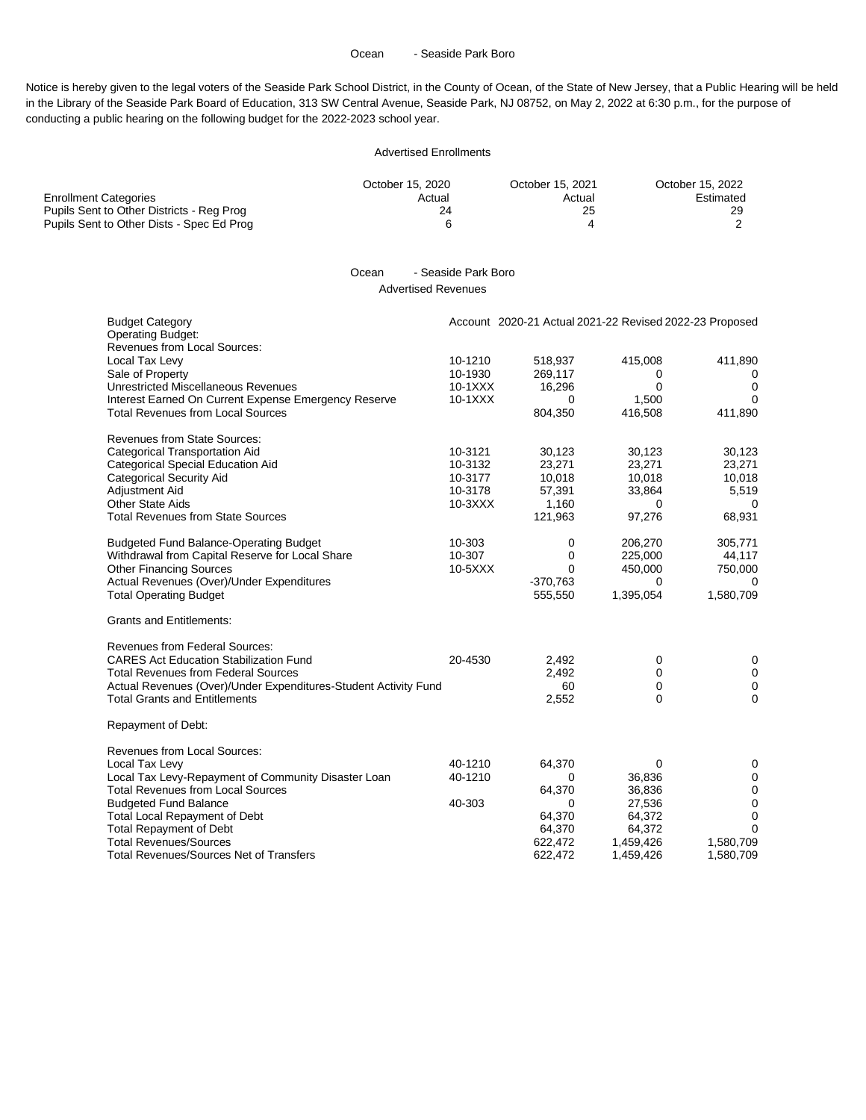#### Ocean - Seaside Park Boro

Notice is hereby given to the legal voters of the Seaside Park School District, in the County of Ocean, of the State of New Jersey, that a Public Hearing will be held in the Library of the Seaside Park Board of Education, 313 SW Central Avenue, Seaside Park, NJ 08752, on May 2, 2022 at 6:30 p.m., for the purpose of conducting a public hearing on the following budget for the 2022-2023 school year.

#### Advertised Enrollments

|                                           | October 15, 2020 | October 15, 2021 | October 15, 2022 |
|-------------------------------------------|------------------|------------------|------------------|
| <b>Enrollment Categories</b>              | Actual           | Actual           | Estimated        |
| Pupils Sent to Other Districts - Reg Prog |                  | 25               | 29               |
| Pupils Sent to Other Dists - Spec Ed Prog |                  |                  |                  |

## Ocean - Seaside Park Boro Advertised Revenues

| <b>Budget Category</b><br><b>Operating Budget:</b>                 |                    | Account 2020-21 Actual 2021-22 Revised 2022-23 Proposed |              |              |
|--------------------------------------------------------------------|--------------------|---------------------------------------------------------|--------------|--------------|
| Revenues from Local Sources:<br>Local Tax Levy<br>Sale of Property | 10-1210<br>10-1930 | 518,937<br>269,117                                      | 415,008<br>0 | 411,890<br>0 |
| Unrestricted Miscellaneous Revenues                                | $10-1XXX$          | 16,296                                                  | 0            | $\mathbf 0$  |
| Interest Earned On Current Expense Emergency Reserve               | 10-1XXX            | $\Omega$                                                | 1,500        | 0            |
| <b>Total Revenues from Local Sources</b>                           |                    | 804,350                                                 | 416,508      | 411,890      |
| <b>Revenues from State Sources:</b>                                |                    |                                                         |              |              |
| <b>Categorical Transportation Aid</b>                              | 10-3121            | 30,123                                                  | 30,123       | 30,123       |
| Categorical Special Education Aid                                  | 10-3132            | 23,271                                                  | 23,271       | 23,271       |
| <b>Categorical Security Aid</b>                                    | 10-3177            | 10,018                                                  | 10,018       | 10,018       |
| Adjustment Aid                                                     | 10-3178            | 57,391                                                  | 33,864       | 5,519        |
| <b>Other State Aids</b>                                            | 10-3XXX            | 1,160                                                   | 0            | $\Omega$     |
| <b>Total Revenues from State Sources</b>                           |                    | 121,963                                                 | 97,276       | 68,931       |
| <b>Budgeted Fund Balance-Operating Budget</b>                      | 10-303             | 0                                                       | 206,270      | 305,771      |
| Withdrawal from Capital Reserve for Local Share                    | 10-307             | 0                                                       | 225,000      | 44,117       |
| <b>Other Financing Sources</b>                                     | $10 - 5XXX$        | 0                                                       | 450,000      | 750,000      |
| Actual Revenues (Over)/Under Expenditures                          |                    | $-370,763$                                              | 0            | 0            |
| <b>Total Operating Budget</b>                                      |                    | 555,550                                                 | 1,395,054    | 1,580,709    |
| <b>Grants and Entitlements:</b>                                    |                    |                                                         |              |              |
| <b>Revenues from Federal Sources:</b>                              |                    |                                                         |              |              |
| <b>CARES Act Education Stabilization Fund</b>                      | 20-4530            | 2,492                                                   | 0            | 0            |
| <b>Total Revenues from Federal Sources</b>                         |                    | 2,492                                                   | 0            | $\mathbf 0$  |
| Actual Revenues (Over)/Under Expenditures-Student Activity Fund    |                    | 60                                                      | 0            | $\mathbf 0$  |
| <b>Total Grants and Entitlements</b>                               |                    | 2,552                                                   | 0            | 0            |
| Repayment of Debt:                                                 |                    |                                                         |              |              |
| <b>Revenues from Local Sources:</b>                                |                    |                                                         |              |              |
| Local Tax Levy                                                     | 40-1210            | 64,370                                                  | 0            | 0            |
| Local Tax Levy-Repayment of Community Disaster Loan                | 40-1210            | 0                                                       | 36,836       | 0            |
| <b>Total Revenues from Local Sources</b>                           |                    | 64,370                                                  | 36,836       | $\mathbf 0$  |
| <b>Budgeted Fund Balance</b>                                       | 40-303             | $\Omega$                                                | 27,536       | 0            |
| <b>Total Local Repayment of Debt</b>                               |                    | 64,370                                                  | 64,372       | 0            |
| <b>Total Repayment of Debt</b>                                     |                    | 64,370                                                  | 64,372       | $\Omega$     |
| <b>Total Revenues/Sources</b>                                      |                    | 622,472                                                 | 1,459,426    | 1,580,709    |
| <b>Total Revenues/Sources Net of Transfers</b>                     |                    | 622,472                                                 | 1,459,426    | 1,580,709    |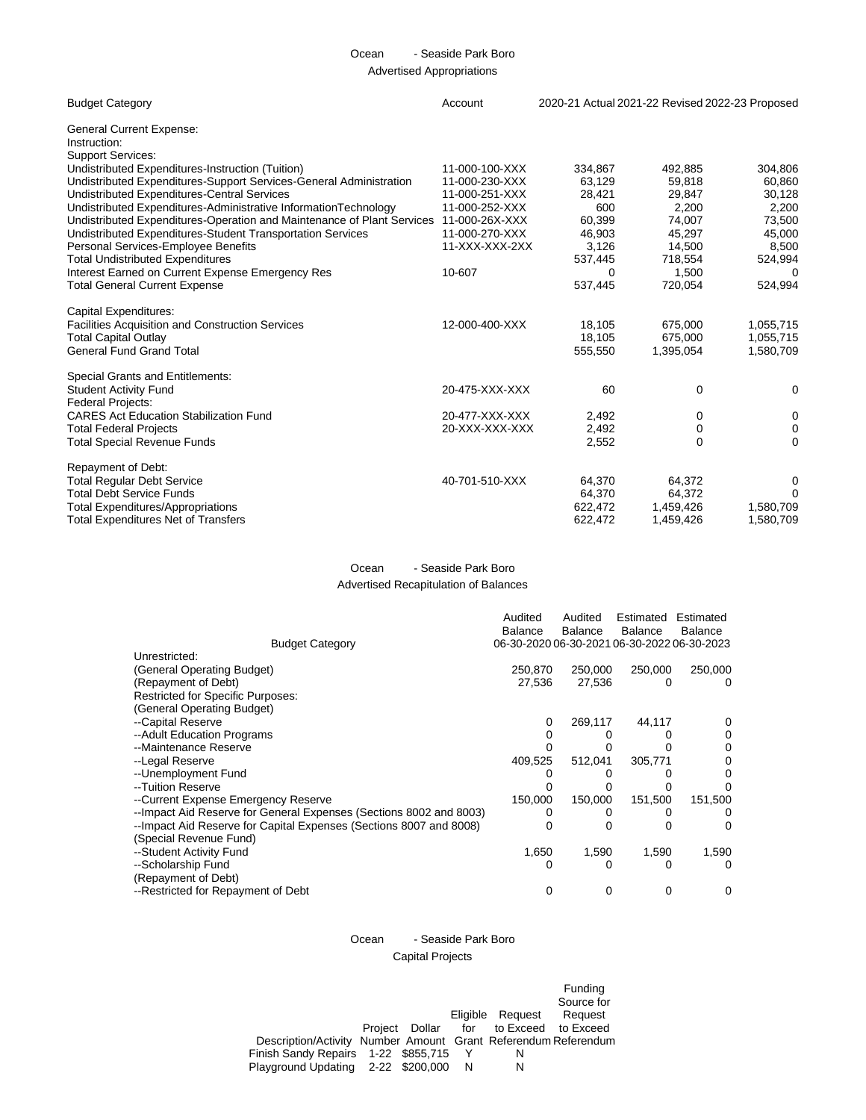# Ocean - Seaside Park Boro Advertised Appropriations

| <b>Budget Category</b>                                                                                            | Account        | 2020-21 Actual 2021-22 Revised 2022-23 Proposed |                  |           |
|-------------------------------------------------------------------------------------------------------------------|----------------|-------------------------------------------------|------------------|-----------|
| <b>General Current Expense:</b><br>Instruction:                                                                   |                |                                                 |                  |           |
| <b>Support Services:</b><br>Undistributed Expenditures-Instruction (Tuition)                                      | 11-000-100-XXX | 334.867                                         | 492,885          | 304,806   |
|                                                                                                                   | 11-000-230-XXX | 63.129                                          |                  |           |
| Undistributed Expenditures-Support Services-General Administration<br>Undistributed Expenditures-Central Services | 11-000-251-XXX | 28,421                                          | 59,818<br>29,847 | 60,860    |
|                                                                                                                   | 11-000-252-XXX | 600                                             |                  | 30,128    |
| Undistributed Expenditures-Administrative InformationTechnology                                                   |                |                                                 | 2,200            | 2,200     |
| Undistributed Expenditures-Operation and Maintenance of Plant Services                                            | 11-000-26X-XXX | 60,399                                          | 74,007           | 73,500    |
| Undistributed Expenditures-Student Transportation Services                                                        | 11-000-270-XXX | 46,903                                          | 45,297           | 45,000    |
| Personal Services-Employee Benefits                                                                               | 11-XXX-XXX-2XX | 3,126                                           | 14,500           | 8,500     |
| <b>Total Undistributed Expenditures</b>                                                                           |                | 537,445                                         | 718,554          | 524,994   |
| Interest Earned on Current Expense Emergency Res                                                                  | 10-607         | $\Omega$                                        | 1,500            | 0         |
| <b>Total General Current Expense</b>                                                                              |                | 537,445                                         | 720,054          | 524,994   |
| Capital Expenditures:                                                                                             |                |                                                 |                  |           |
| Facilities Acquisition and Construction Services                                                                  | 12-000-400-XXX | 18,105                                          | 675,000          | 1,055,715 |
| <b>Total Capital Outlay</b>                                                                                       |                | 18,105                                          | 675,000          | 1,055,715 |
| <b>General Fund Grand Total</b>                                                                                   |                | 555,550                                         | 1,395,054        | 1,580,709 |
| Special Grants and Entitlements:                                                                                  |                |                                                 |                  |           |
| <b>Student Activity Fund</b>                                                                                      | 20-475-XXX-XXX | 60                                              | $\mathbf 0$      | 0         |
| <b>Federal Projects:</b>                                                                                          |                |                                                 |                  |           |
| <b>CARES Act Education Stabilization Fund</b>                                                                     | 20-477-XXX-XXX | 2,492                                           | 0                | 0         |
| <b>Total Federal Projects</b>                                                                                     | 20-XXX-XXX-XXX | 2,492                                           | 0                | 0         |
| <b>Total Special Revenue Funds</b>                                                                                |                | 2,552                                           | $\Omega$         | 0         |
|                                                                                                                   |                |                                                 |                  |           |
| Repayment of Debt:                                                                                                |                |                                                 |                  |           |
| <b>Total Regular Debt Service</b>                                                                                 | 40-701-510-XXX | 64,370                                          | 64,372           | 0         |
| <b>Total Debt Service Funds</b>                                                                                   |                | 64,370                                          | 64,372           | 0         |
| <b>Total Expenditures/Appropriations</b>                                                                          |                | 622,472                                         | 1,459,426        | 1,580,709 |
| <b>Total Expenditures Net of Transfers</b>                                                                        |                | 622,472                                         | 1,459,426        | 1,580,709 |
|                                                                                                                   |                |                                                 |                  |           |

## Ocean - Seaside Park Boro Advertised Recapitulation of Balances

|                                                                     | Audited                                     | Audited | Estimated | Estimated      |
|---------------------------------------------------------------------|---------------------------------------------|---------|-----------|----------------|
|                                                                     | <b>Balance</b>                              | Balance | Balance   | <b>Balance</b> |
| <b>Budget Category</b>                                              | 06-30-2020 06-30-2021 06-30-2022 06-30-2023 |         |           |                |
| Unrestricted:                                                       |                                             |         |           |                |
| (General Operating Budget)                                          | 250,870                                     | 250,000 | 250,000   | 250,000        |
| (Repayment of Debt)                                                 | 27,536                                      | 27,536  | Ω         | 0              |
| Restricted for Specific Purposes:                                   |                                             |         |           |                |
| (General Operating Budget)                                          |                                             |         |           |                |
| --Capital Reserve                                                   | 0                                           | 269,117 | 44,117    |                |
| --Adult Education Programs                                          |                                             |         |           |                |
| --Maintenance Reserve                                               |                                             |         |           |                |
| --Legal Reserve                                                     | 409,525                                     | 512,041 | 305,771   |                |
| --Unemployment Fund                                                 |                                             |         |           |                |
| --Tuition Reserve                                                   |                                             |         |           |                |
| --Current Expense Emergency Reserve                                 | 150,000                                     | 150,000 | 151,500   | 151,500        |
| --Impact Aid Reserve for General Expenses (Sections 8002 and 8003)  |                                             |         |           |                |
| -- Impact Aid Reserve for Capital Expenses (Sections 8007 and 8008) |                                             |         |           |                |
| (Special Revenue Fund)                                              |                                             |         |           |                |
| --Student Activity Fund                                             | 1,650                                       | 1,590   | 1,590     | 1,590          |
| --Scholarship Fund                                                  | O                                           |         | Ω         | 0              |
| (Repayment of Debt)                                                 |                                             |         |           |                |
| --Restricted for Repayment of Debt                                  | 0                                           |         | O         | 0              |

# Ocean - Seaside Park Boro Capital Projects

Description/Activity Number Amount Grant Referendum Referendum Project Dollar Eligible for Request to Exceed Funding Source for Request to Exceed Finish Sandy Repairs 1-22 \$855,715 Y N Playground Updating 2-22 \$200,000 N N